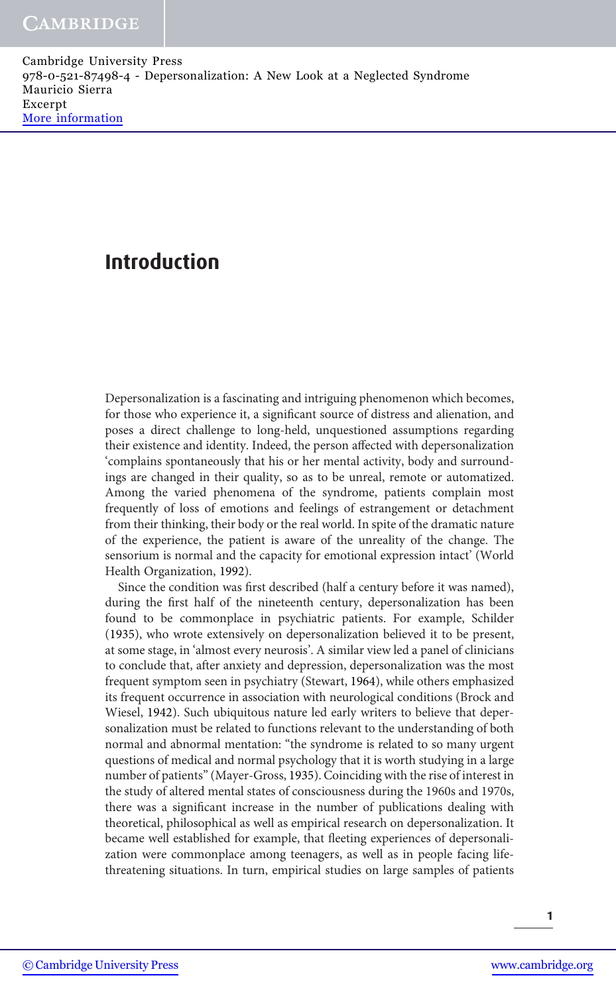# **Introduction**

Depersonalization is a fascinating and intriguing phenomenon which becomes, for those who experience it, a significant source of distress and alienation, and poses a direct challenge to long-held, unquestioned assumptions regarding their existence and identity. Indeed, the person affected with depersonalization 'complains spontaneously that his or her mental activity, body and surroundings are changed in their quality, so as to be unreal, remote or automatized. Among the varied phenomena of the syndrome, patients complain most frequently of loss of emotions and feelings of estrangement or detachment from their thinking, their body or the real world. In spite of the dramatic nature of the experience, the patient is aware of the unreality of the change. The sensorium is normal and the capacity for emotional expression intact' (World Health Organization, 1992).

Since the condition was first described (half a century before it was named), during the first half of the nineteenth century, depersonalization has been found to be commonplace in psychiatric patients. For example, Schilder (1935), who wrote extensively on depersonalization believed it to be present, at some stage, in 'almost every neurosis'. A similar view led a panel of clinicians to conclude that, after anxiety and depression, depersonalization was the most frequent symptom seen in psychiatry (Stewart, 1964), while others emphasized its frequent occurrence in association with neurological conditions (Brock and Wiesel, 1942). Such ubiquitous nature led early writers to believe that depersonalization must be related to functions relevant to the understanding of both normal and abnormal mentation: "the syndrome is related to so many urgent questions of medical and normal psychology that it is worth studying in a large number of patients"(Mayer-Gross, 1935). Coinciding with the rise of interest in the study of altered mental states of consciousness during the 1960s and 1970s, there was a significant increase in the number of publications dealing with theoretical, philosophical as well as empirical research on depersonalization. It became well established for example, that fleeting experiences of depersonalization were commonplace among teenagers, as well as in people facing lifethreatening situations. In turn, empirical studies on large samples of patients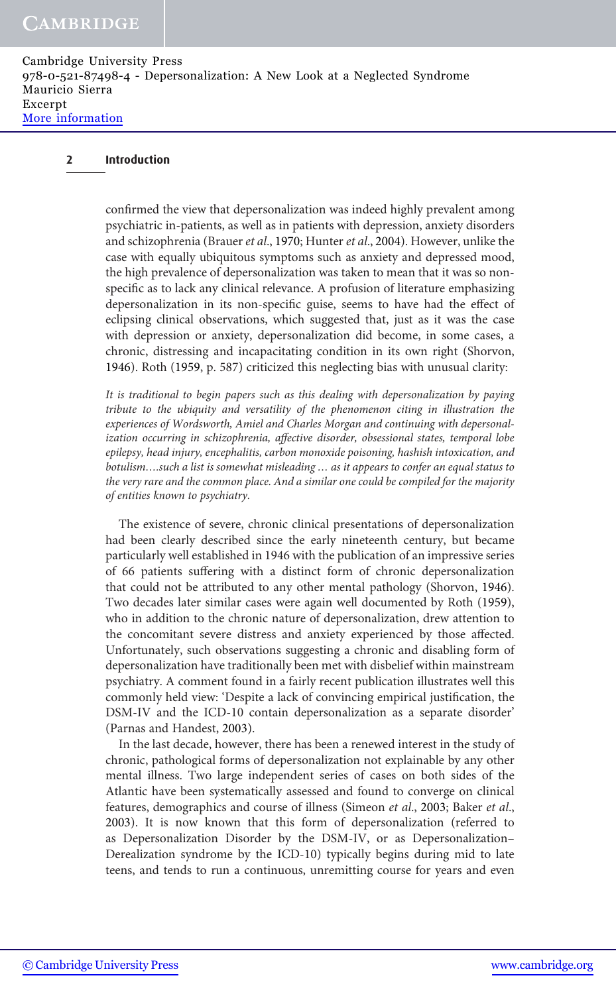## **2 Introduction**

confirmed the view that depersonalization was indeed highly prevalent among psychiatric in-patients, as well as in patients with depression, anxiety disorders and schizophrenia (Brauer et al., 1970; Hunter et al., 2004). However, unlike the case with equally ubiquitous symptoms such as anxiety and depressed mood, the high prevalence of depersonalization was taken to mean that it was so nonspecific as to lack any clinical relevance. A profusion of literature emphasizing depersonalization in its non-specific guise, seems to have had the effect of eclipsing clinical observations, which suggested that, just as it was the case with depression or anxiety, depersonalization did become, in some cases, a chronic, distressing and incapacitating condition in its own right (Shorvon, 1946). Roth (1959, p. 587) criticized this neglecting bias with unusual clarity:

It is traditional to begin papers such as this dealing with depersonalization by paying tribute to the ubiquity and versatility of the phenomenon citing in illustration the experiences of Wordsworth, Amiel and Charles Morgan and continuing with depersonalization occurring in schizophrenia, affective disorder, obsessional states, temporal lobe epilepsy, head injury, encephalitis, carbon monoxide poisoning, hashish intoxication, and botulism….such a list is somewhat misleading … as it appears to confer an equal status to the very rare and the common place. And a similar one could be compiled for the majority of entities known to psychiatry.

The existence of severe, chronic clinical presentations of depersonalization had been clearly described since the early nineteenth century, but became particularly well established in 1946 with the publication of an impressive series of 66 patients suffering with a distinct form of chronic depersonalization that could not be attributed to any other mental pathology (Shorvon, 1946). Two decades later similar cases were again well documented by Roth (1959), who in addition to the chronic nature of depersonalization, drew attention to the concomitant severe distress and anxiety experienced by those affected. Unfortunately, such observations suggesting a chronic and disabling form of depersonalization have traditionally been met with disbelief within mainstream psychiatry. A comment found in a fairly recent publication illustrates well this commonly held view: 'Despite a lack of convincing empirical justification, the DSM-IV and the ICD-10 contain depersonalization as a separate disorder' (Parnas and Handest, 2003).

In the last decade, however, there has been a renewed interest in the study of chronic, pathological forms of depersonalization not explainable by any other mental illness. Two large independent series of cases on both sides of the Atlantic have been systematically assessed and found to converge on clinical features, demographics and course of illness (Simeon et al., 2003; Baker et al., 2003). It is now known that this form of depersonalization (referred to as Depersonalization Disorder by the DSM-IV, or as Depersonalization– Derealization syndrome by the ICD-10) typically begins during mid to late teens, and tends to run a continuous, unremitting course for years and even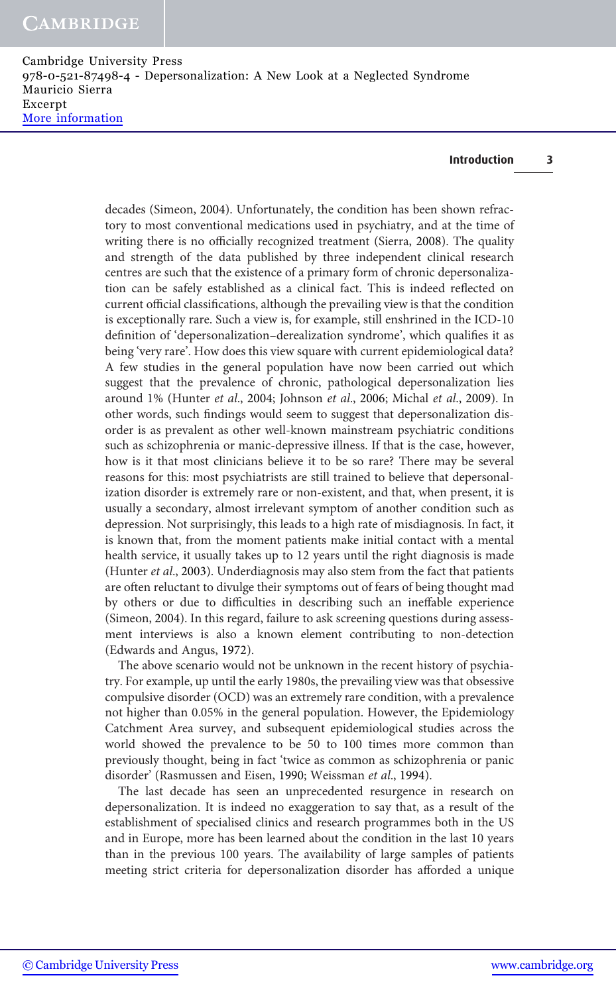### **Introduction 3**

decades (Simeon, 2004). Unfortunately, the condition has been shown refractory to most conventional medications used in psychiatry, and at the time of writing there is no officially recognized treatment (Sierra, 2008). The quality and strength of the data published by three independent clinical research centres are such that the existence of a primary form of chronic depersonalization can be safely established as a clinical fact. This is indeed reflected on current official classifications, although the prevailing view is that the condition is exceptionally rare. Such a view is, for example, still enshrined in the ICD-10 definition of 'depersonalization–derealization syndrome', which qualifies it as being 'very rare'. How does this view square with current epidemiological data? A few studies in the general population have now been carried out which suggest that the prevalence of chronic, pathological depersonalization lies around 1% (Hunter et al., 2004; Johnson et al., 2006; Michal et al., 2009). In other words, such findings would seem to suggest that depersonalization disorder is as prevalent as other well-known mainstream psychiatric conditions such as schizophrenia or manic-depressive illness. If that is the case, however, how is it that most clinicians believe it to be so rare? There may be several reasons for this: most psychiatrists are still trained to believe that depersonalization disorder is extremely rare or non-existent, and that, when present, it is usually a secondary, almost irrelevant symptom of another condition such as depression. Not surprisingly, this leads to a high rate of misdiagnosis. In fact, it is known that, from the moment patients make initial contact with a mental health service, it usually takes up to 12 years until the right diagnosis is made (Hunter et al., 2003). Underdiagnosis may also stem from the fact that patients are often reluctant to divulge their symptoms out of fears of being thought mad by others or due to difficulties in describing such an ineffable experience (Simeon, 2004). In this regard, failure to ask screening questions during assessment interviews is also a known element contributing to non-detection (Edwards and Angus, 1972).

The above scenario would not be unknown in the recent history of psychiatry. For example, up until the early 1980s, the prevailing view was that obsessive compulsive disorder (OCD) was an extremely rare condition, with a prevalence not higher than 0.05% in the general population. However, the Epidemiology Catchment Area survey, and subsequent epidemiological studies across the world showed the prevalence to be 50 to 100 times more common than previously thought, being in fact 'twice as common as schizophrenia or panic disorder' (Rasmussen and Eisen, 1990; Weissman et al., 1994).

The last decade has seen an unprecedented resurgence in research on depersonalization. It is indeed no exaggeration to say that, as a result of the establishment of specialised clinics and research programmes both in the US and in Europe, more has been learned about the condition in the last 10 years than in the previous 100 years. The availability of large samples of patients meeting strict criteria for depersonalization disorder has afforded a unique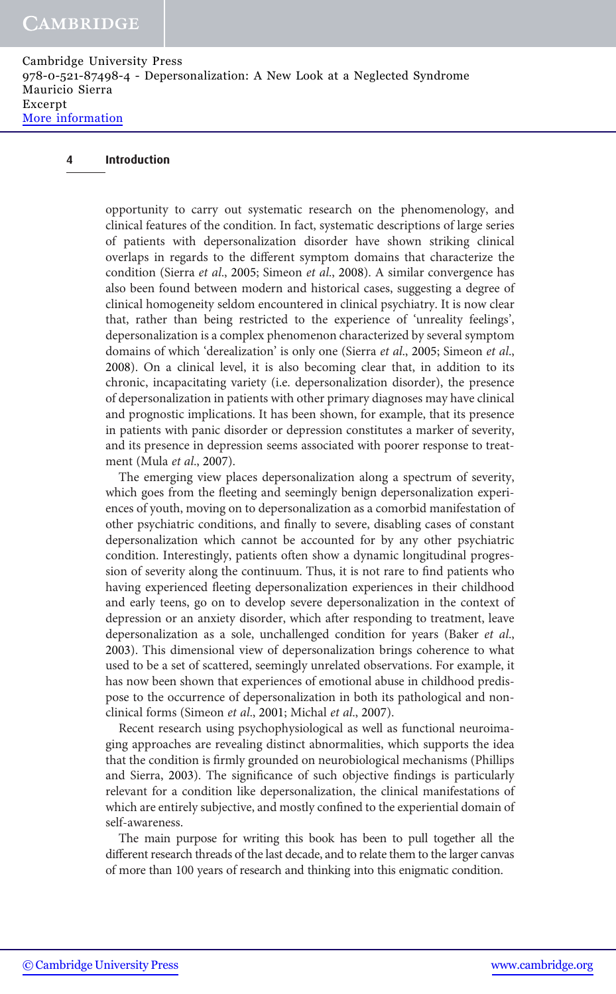## **4 Introduction**

opportunity to carry out systematic research on the phenomenology, and clinical features of the condition. In fact, systematic descriptions of large series of patients with depersonalization disorder have shown striking clinical overlaps in regards to the different symptom domains that characterize the condition (Sierra et al., 2005; Simeon et al., 2008). A similar convergence has also been found between modern and historical cases, suggesting a degree of clinical homogeneity seldom encountered in clinical psychiatry. It is now clear that, rather than being restricted to the experience of 'unreality feelings', depersonalization is a complex phenomenon characterized by several symptom domains of which 'derealization' is only one (Sierra et al., 2005; Simeon et al., 2008). On a clinical level, it is also becoming clear that, in addition to its chronic, incapacitating variety (i.e. depersonalization disorder), the presence of depersonalization in patients with other primary diagnoses may have clinical and prognostic implications. It has been shown, for example, that its presence in patients with panic disorder or depression constitutes a marker of severity, and its presence in depression seems associated with poorer response to treatment (Mula et al., 2007).

The emerging view places depersonalization along a spectrum of severity, which goes from the fleeting and seemingly benign depersonalization experiences of youth, moving on to depersonalization as a comorbid manifestation of other psychiatric conditions, and finally to severe, disabling cases of constant depersonalization which cannot be accounted for by any other psychiatric condition. Interestingly, patients often show a dynamic longitudinal progression of severity along the continuum. Thus, it is not rare to find patients who having experienced fleeting depersonalization experiences in their childhood and early teens, go on to develop severe depersonalization in the context of depression or an anxiety disorder, which after responding to treatment, leave depersonalization as a sole, unchallenged condition for years (Baker et al., 2003). This dimensional view of depersonalization brings coherence to what used to be a set of scattered, seemingly unrelated observations. For example, it has now been shown that experiences of emotional abuse in childhood predispose to the occurrence of depersonalization in both its pathological and nonclinical forms (Simeon et al., 2001; Michal et al., 2007).

Recent research using psychophysiological as well as functional neuroimaging approaches are revealing distinct abnormalities, which supports the idea that the condition is firmly grounded on neurobiological mechanisms (Phillips and Sierra, 2003). The significance of such objective findings is particularly relevant for a condition like depersonalization, the clinical manifestations of which are entirely subjective, and mostly confined to the experiential domain of self-awareness.

The main purpose for writing this book has been to pull together all the different research threads of the last decade, and to relate them to the larger canvas of more than 100 years of research and thinking into this enigmatic condition.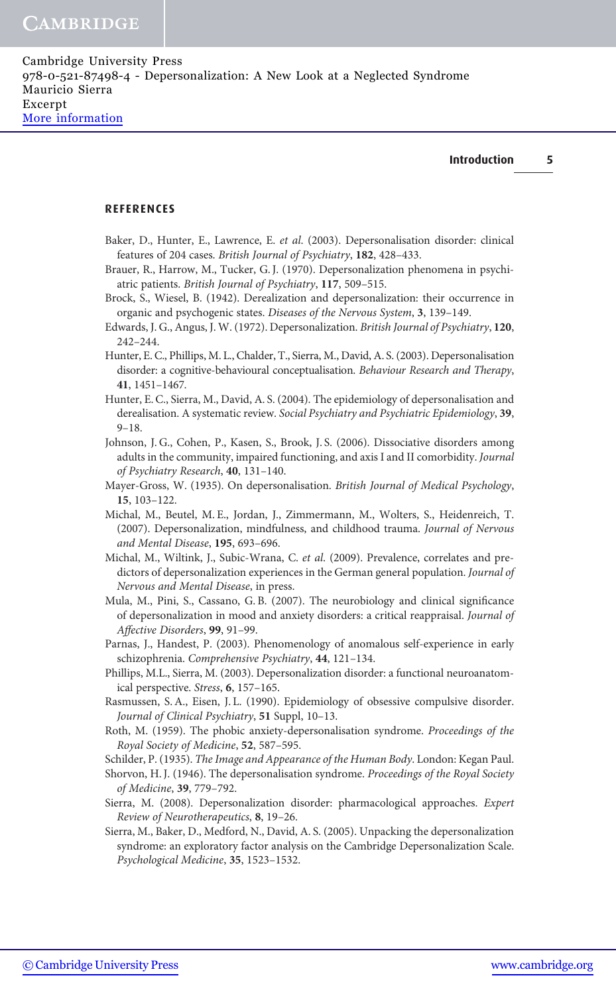## **REFERENCES**

- Baker, D., Hunter, E., Lawrence, E. et al. (2003). Depersonalisation disorder: clinical features of 204 cases. British Journal of Psychiatry, 182, 428–433.
- Brauer, R., Harrow, M., Tucker, G. J. (1970). Depersonalization phenomena in psychiatric patients. British Journal of Psychiatry, 117, 509-515.
- Brock, S., Wiesel, B. (1942). Derealization and depersonalization: their occurrence in organic and psychogenic states. Diseases of the Nervous System, 3, 139-149.
- Edwards, J. G., Angus, J. W. (1972). Depersonalization. British Journal of Psychiatry, 120, 242–244.
- Hunter, E. C., Phillips, M. L., Chalder, T., Sierra, M., David, A. S. (2003). Depersonalisation disorder: a cognitive-behavioural conceptualisation. Behaviour Research and Therapy, 41, 1451–1467.
- Hunter, E. C., Sierra, M., David, A. S. (2004). The epidemiology of depersonalisation and derealisation. A systematic review. Social Psychiatry and Psychiatric Epidemiology, 39, 9–18.
- Johnson, J. G., Cohen, P., Kasen, S., Brook, J. S. (2006). Dissociative disorders among adults in the community, impaired functioning, and axis I and II comorbidity. Journal of Psychiatry Research, 40, 131–140.
- Mayer-Gross, W. (1935). On depersonalisation. British Journal of Medical Psychology, 15, 103–122.
- Michal, M., Beutel, M. E., Jordan, J., Zimmermann, M., Wolters, S., Heidenreich, T. (2007). Depersonalization, mindfulness, and childhood trauma. Journal of Nervous and Mental Disease, 195, 693–696.
- Michal, M., Wiltink, J., Subic-Wrana, C. et al. (2009). Prevalence, correlates and predictors of depersonalization experiences in the German general population. Journal of Nervous and Mental Disease, in press.
- Mula, M., Pini, S., Cassano, G. B. (2007). The neurobiology and clinical significance of depersonalization in mood and anxiety disorders: a critical reappraisal. Journal of Affective Disorders, 99, 91–99.
- Parnas, J., Handest, P. (2003). Phenomenology of anomalous self-experience in early schizophrenia. Comprehensive Psychiatry, 44, 121-134.
- Phillips, M.L., Sierra, M. (2003). Depersonalization disorder: a functional neuroanatomical perspective. Stress, 6, 157-165.
- Rasmussen, S. A., Eisen, J. L. (1990). Epidemiology of obsessive compulsive disorder. Journal of Clinical Psychiatry, 51 Suppl, 10–13.
- Roth, M. (1959). The phobic anxiety-depersonalisation syndrome. Proceedings of the Royal Society of Medicine, 52, 587–595.
- Schilder, P. (1935). The Image and Appearance of the Human Body. London: Kegan Paul.
- Shorvon, H. J. (1946). The depersonalisation syndrome. Proceedings of the Royal Society of Medicine, 39, 779–792.
- Sierra, M. (2008). Depersonalization disorder: pharmacological approaches. Expert Review of Neurotherapeutics, 8, 19–26.
- Sierra, M., Baker, D., Medford, N., David, A. S. (2005). Unpacking the depersonalization syndrome: an exploratory factor analysis on the Cambridge Depersonalization Scale. Psychological Medicine, 35, 1523–1532.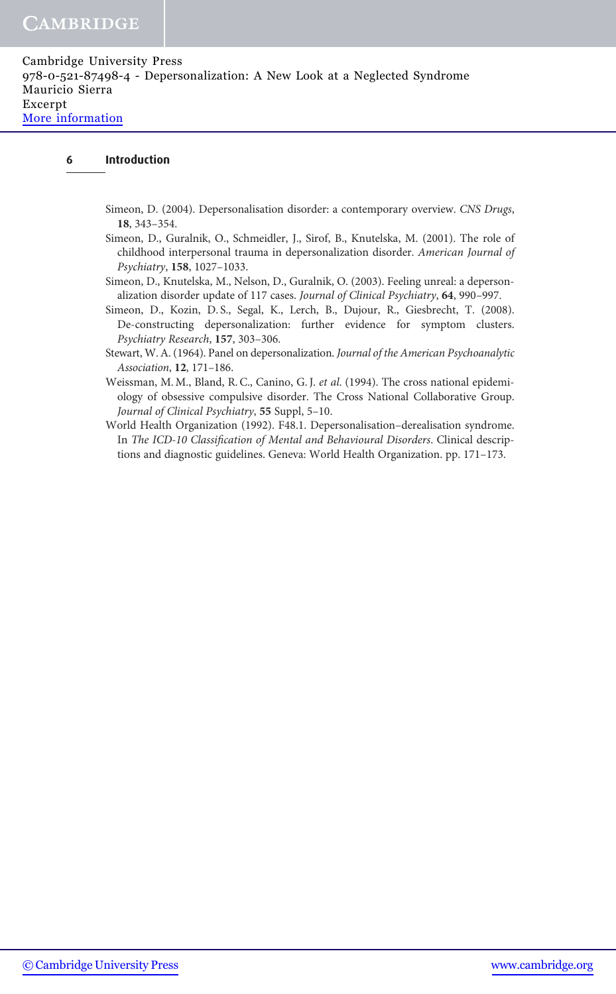## **6 Introduction**

- Simeon, D. (2004). Depersonalisation disorder: a contemporary overview. CNS Drugs, 18, 343–354.
- Simeon, D., Guralnik, O., Schmeidler, J., Sirof, B., Knutelska, M. (2001). The role of childhood interpersonal trauma in depersonalization disorder. American Journal of Psychiatry, 158, 1027–1033.
- Simeon, D., Knutelska, M., Nelson, D., Guralnik, O. (2003). Feeling unreal: a depersonalization disorder update of 117 cases. Journal of Clinical Psychiatry, 64, 990-997.
- Simeon, D., Kozin, D.S., Segal, K., Lerch, B., Dujour, R., Giesbrecht, T. (2008). De-constructing depersonalization: further evidence for symptom clusters. Psychiatry Research, 157, 303–306.
- Stewart, W. A. (1964). Panel on depersonalization. Journal of the American Psychoanalytic Association, 12, 171–186.
- Weissman, M. M., Bland, R. C., Canino, G. J. et al. (1994). The cross national epidemiology of obsessive compulsive disorder. The Cross National Collaborative Group. Journal of Clinical Psychiatry, 55 Suppl, 5–10.
- World Health Organization (1992). F48.1. Depersonalisation–derealisation syndrome. In The ICD-10 Classification of Mental and Behavioural Disorders. Clinical descriptions and diagnostic guidelines. Geneva: World Health Organization. pp. 171–173.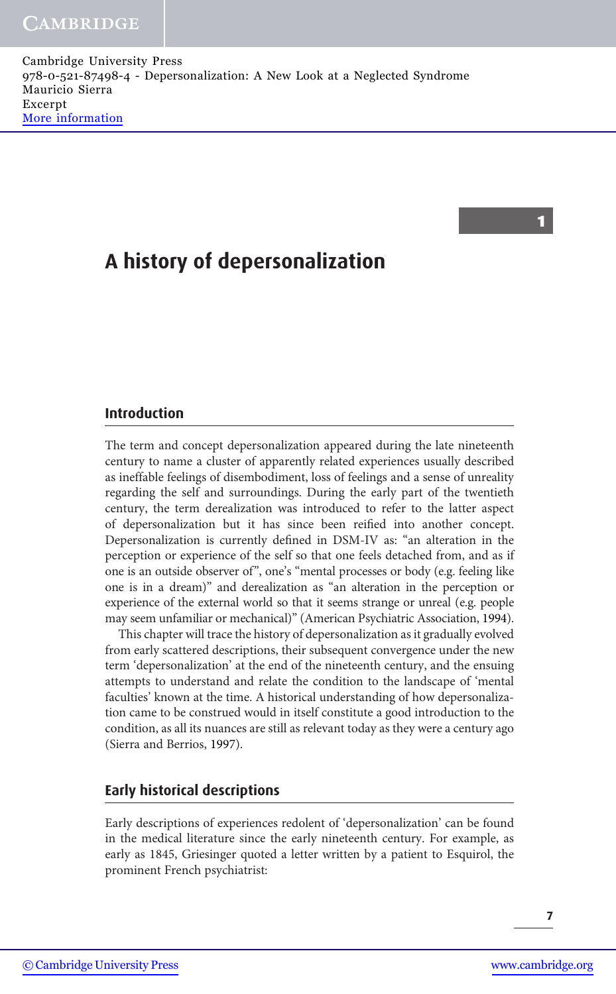# **A history of depersonalization**

## **Introduction**

The term and concept depersonalization appeared during the late nineteenth century to name a cluster of apparently related experiences usually described as ineffable feelings of disembodiment, loss of feelings and a sense of unreality regarding the self and surroundings. During the early part of the twentieth century, the term derealization was introduced to refer to the latter aspect of depersonalization but it has since been reified into another concept. Depersonalization is currently defined in DSM-IV as: "an alteration in the perception or experience of the self so that one feels detached from, and as if one is an outside observer of", one's "mental processes or body (e.g. feeling like one is in a dream)" and derealization as "an alteration in the perception or experience of the external world so that it seems strange or unreal (e.g. people may seem unfamiliar or mechanical)" (American Psychiatric Association, 1994).

This chapter will trace the history of depersonalization as it gradually evolved from early scattered descriptions, their subsequent convergence under the new term 'depersonalization' at the end of the nineteenth century, and the ensuing attempts to understand and relate the condition to the landscape of 'mental faculties' known at the time. A historical understanding of how depersonalization came to be construed would in itself constitute a good introduction to the condition, as all its nuances are still as relevant today as they were a century ago (Sierra and Berrios, 1997).

# **Early historical descriptions**

Early descriptions of experiences redolent of 'depersonalization' can be found in the medical literature since the early nineteenth century. For example, as early as 1845, Griesinger quoted a letter written by a patient to Esquirol, the prominent French psychiatrist:

1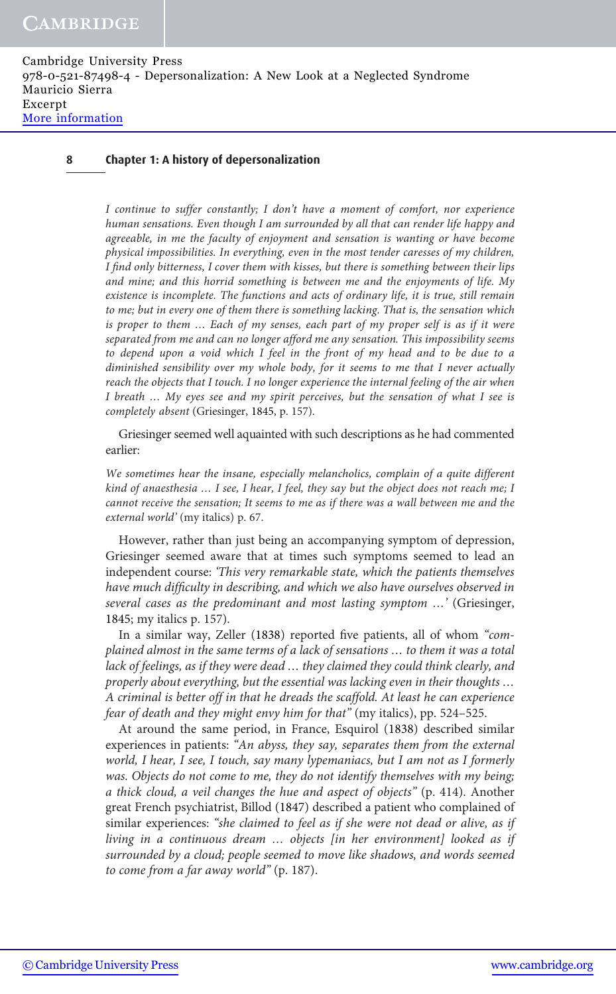## **8 Chapter 1: A history of depersonalization**

I continue to suffer constantly; I don't have a moment of comfort, nor experience human sensations. Even though I am surrounded by all that can render life happy and agreeable, in me the faculty of enjoyment and sensation is wanting or have become physical impossibilities. In everything, even in the most tender caresses of my children, I find only bitterness, I cover them with kisses, but there is something between their lips and mine; and this horrid something is between me and the enjoyments of life. My existence is incomplete. The functions and acts of ordinary life, it is true, still remain to me; but in every one of them there is something lacking. That is, the sensation which is proper to them … Each of my senses, each part of my proper self is as if it were separated from me and can no longer afford me any sensation. This impossibility seems to depend upon a void which I feel in the front of my head and to be due to a diminished sensibility over my whole body, for it seems to me that I never actually reach the objects that I touch. I no longer experience the internal feeling of the air when I breath … My eyes see and my spirit perceives, but the sensation of what I see is completely absent (Griesinger, 1845, p. 157).

Griesinger seemed well aquainted with such descriptions as he had commented earlier:

We sometimes hear the insane, especially melancholics, complain of a quite different kind of anaesthesia … I see, I hear, I feel, they say but the object does not reach me; I cannot receive the sensation; It seems to me as if there was a wall between me and the external world' (my italics) p. 67.

However, rather than just being an accompanying symptom of depression, Griesinger seemed aware that at times such symptoms seemed to lead an independent course: 'This very remarkable state, which the patients themselves have much difficulty in describing, and which we also have ourselves observed in several cases as the predominant and most lasting symptom …' (Griesinger, 1845; my italics p. 157).

In a similar way, Zeller (1838) reported five patients, all of whom "complained almost in the same terms of a lack of sensations … to them it was a total lack of feelings, as if they were dead … they claimed they could think clearly, and properly about everything, but the essential was lacking even in their thoughts … A criminal is better off in that he dreads the scaffold. At least he can experience fear of death and they might envy him for that" (my italics), pp. 524–525.

At around the same period, in France, Esquirol (1838) described similar experiences in patients: "An abyss, they say, separates them from the external world, I hear, I see, I touch, say many lypemaniacs, but I am not as I formerly was. Objects do not come to me, they do not identify themselves with my being; a thick cloud, a veil changes the hue and aspect of objects" (p. 414). Another great French psychiatrist, Billod (1847) described a patient who complained of similar experiences: "she claimed to feel as if she were not dead or alive, as if living in a continuous dream … objects [in her environment] looked as if surrounded by a cloud; people seemed to move like shadows, and words seemed to come from a far away world" (p. 187).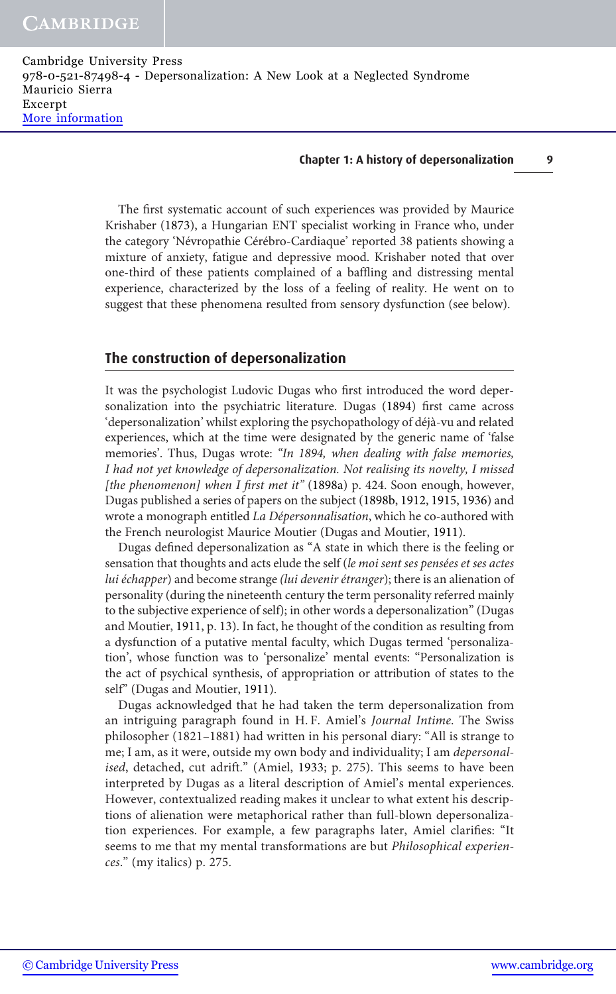#### **Chapter 1: A history of depersonalization 9**

The first systematic account of such experiences was provided by Maurice Krishaber (1873), a Hungarian ENT specialist working in France who, under the category 'Névropathie Cérébro-Cardiaque' reported 38 patients showing a mixture of anxiety, fatigue and depressive mood. Krishaber noted that over one-third of these patients complained of a baffling and distressing mental experience, characterized by the loss of a feeling of reality. He went on to suggest that these phenomena resulted from sensory dysfunction (see below).

## **The construction of depersonalization**

It was the psychologist Ludovic Dugas who first introduced the word depersonalization into the psychiatric literature. Dugas (1894) first came across 'depersonalization' whilst exploring the psychopathology of déjà-vu and related experiences, which at the time were designated by the generic name of 'false memories'. Thus, Dugas wrote: "In 1894, when dealing with false memories, I had not yet knowledge of depersonalization. Not realising its novelty, I missed [the phenomenon] when I first met it" (1898a) p. 424. Soon enough, however, Dugas published a series of papers on the subject (1898b, 1912, 1915, 1936) and wrote a monograph entitled La Dépersonnalisation, which he co-authored with the French neurologist Maurice Moutier (Dugas and Moutier, 1911).

Dugas defined depersonalization as "A state in which there is the feeling or sensation that thoughts and acts elude the self (le moi sent ses pensées et ses actes lui échapper) and become strange (lui devenir étranger); there is an alienation of personality (during the nineteenth century the term personality referred mainly to the subjective experience of self); in other words a depersonalization" (Dugas and Moutier, 1911, p. 13). In fact, he thought of the condition as resulting from a dysfunction of a putative mental faculty, which Dugas termed 'personalization', whose function was to 'personalize' mental events: "Personalization is the act of psychical synthesis, of appropriation or attribution of states to the self" (Dugas and Moutier, 1911).

Dugas acknowledged that he had taken the term depersonalization from an intriguing paragraph found in H. F. Amiel's Journal Intime. The Swiss philosopher (1821–1881) had written in his personal diary: "All is strange to me; I am, as it were, outside my own body and individuality; I am depersonalised, detached, cut adrift." (Amiel, 1933; p. 275). This seems to have been interpreted by Dugas as a literal description of Amiel's mental experiences. However, contextualized reading makes it unclear to what extent his descriptions of alienation were metaphorical rather than full-blown depersonalization experiences. For example, a few paragraphs later, Amiel clarifies: "It seems to me that my mental transformations are but Philosophical experiences." (my italics) p. 275.